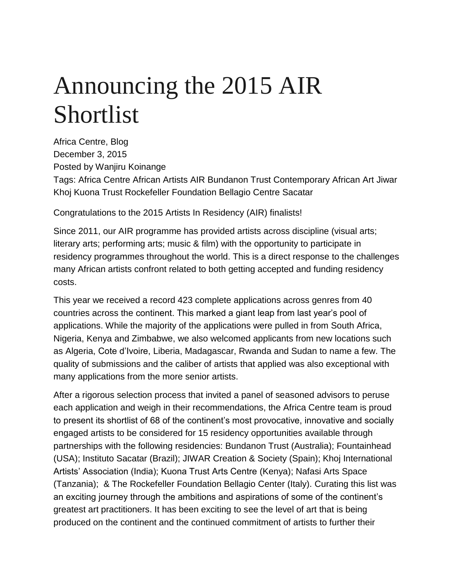# Announcing the 2015 AIR Shortlist

Africa Centre, Blog December 3, 2015 Posted by Wanjiru Koinange Tags: Africa Centre African Artists AIR Bundanon Trust Contemporary African Art Jiwar Khoj Kuona Trust Rockefeller Foundation Bellagio Centre Sacatar

Congratulations to the 2015 Artists In Residency (AIR) finalists!

Since 2011, our AIR programme has provided artists across discipline (visual arts; literary arts; performing arts; music & film) with the opportunity to participate in residency programmes throughout the world. This is a direct response to the challenges many African artists confront related to both getting accepted and funding residency costs.

This year we received a record 423 complete applications across genres from 40 countries across the continent. This marked a giant leap from last year's pool of applications. While the majority of the applications were pulled in from South Africa, Nigeria, Kenya and Zimbabwe, we also welcomed applicants from new locations such as Algeria, Cote d'Ivoire, Liberia, Madagascar, Rwanda and Sudan to name a few. The quality of submissions and the caliber of artists that applied was also exceptional with many applications from the more senior artists.

After a rigorous selection process that invited a panel of seasoned advisors to peruse each application and weigh in their recommendations, the Africa Centre team is proud to present its shortlist of 68 of the continent's most provocative, innovative and socially engaged artists to be considered for 15 residency opportunities available through partnerships with the following residencies: Bundanon Trust (Australia); Fountainhead (USA); Instituto Sacatar (Brazil); JIWAR Creation & Society (Spain); Khoj International Artists' Association (India); Kuona Trust Arts Centre (Kenya); Nafasi Arts Space (Tanzania); & The Rockefeller Foundation Bellagio Center (Italy). Curating this list was an exciting journey through the ambitions and aspirations of some of the continent's greatest art practitioners. It has been exciting to see the level of art that is being produced on the continent and the continued commitment of artists to further their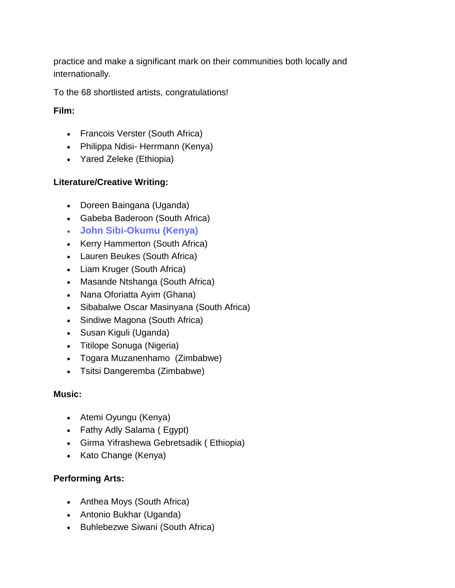practice and make a significant mark on their communities both locally and internationally.

To the 68 shortlisted artists, congratulations!

**Film:**

- [Francois Verster](https://en.wikipedia.org/wiki/Fran%C3%A7ois_Verster) (South Africa)
- [Philippa Ndisi-](http://philippandisiherrmann.virb.com/) Herrmann (Kenya)
- [Yared Zeleke](http://africasacountry.com/2015/09/qa-with-yared-zeleke-creator-of-groundbreaking-ethiopian-film-lamb/) (Ethiopia)

## **Literature/Creative Writing:**

- [Doreen Baingana](https://en.wikipedia.org/wiki/Doreen_Baingana) (Uganda)
- [Gabeba Baderoon](http://badilishapoetry.com/gabeba-baderoon/) (South Africa)
- **[John Sibi-Okumu](https://www.johnsibi-okumu.com/) (Kenya)**
- [Kerry Hammerton](http://badilishapoetry.com/kerry-hammerton/) (South Africa)
- [Lauren Beukes](http://laurenbeukes.com/about/) (South Africa)
- [Liam Kruger](http://badilishapoetry.com/liam-kruger/) (South Africa)
- [Masande Ntshanga](http://umuzi.bookslive.co.za/blog/2015/10/05/masande-ntshanga-chats-about-the-south-african-literary-landscape-and-his-debut-novel-the-reactive-podcast/) (South Africa)
- [Nana Oforiatta Ayim](http://www.design233.com/nana-oforiatta-ayim/) (Ghana)
- [Sibabalwe Oscar Masinyana](http://creativeseed.co.za/linguistics/staff/masters-student/) (South Africa)
- [Sindiwe Magona](http://openbookfestival.co.za/authors/sindiwe-magona/) (South Africa)
- [Susan Kiguli](https://en.wikipedia.org/wiki/Susan_Nalugwa_Kiguli) (Uganda)
- [Titilope Sonuga](http://brittlepaper.com/2015/11/titilope-sonuga-thrills-lagos-fans-night-poetry-music) (Nigeria)
- [Togara Muzanenhamo](http://www.panorama.co.zw/index.php/book-review/189-a-conversation-with-poet-togara-muzanenhamo) (Zimbabwe)
- [Tsitsi Dangeremba](https://en.wikipedia.org/wiki/Tsitsi_Dangarembga) (Zimbabwe)

#### **Music:**

- [Atemi Oyungu](http://www.standardmedia.co.ke/m/story.php?articleID=2000181585&story_title=WCW-Atemi-Oyungu-Breathing-soul-into-Kenyan-music) (Kenya)
- [Fathy Adly Salama](https://en.wikipedia.org/wiki/Fathy_Salama) ( Egypt)
- [Girma Yifrashewa Gebretsadik](http://www.nytimes.com/2013/06/10/arts/music/girma-yifrashewa-pianist-composer-at-issue-project-room.html?_r=1) ( Ethiopia)
- [Kato Change](https://www.youtube.com/watch?v=V4jpgpc2lzs) (Kenya)

## **Performing Arts:**

- [Anthea Moys](http://www.antheamoys.com/) (South Africa)
- [Antonio Bukhar](http://www.antoniobukhar.com/) (Uganda)
- [Buhlebezwe Siwani](https://www.linkedin.com/in/buhlebezwe-siwani-34489a63) (South Africa)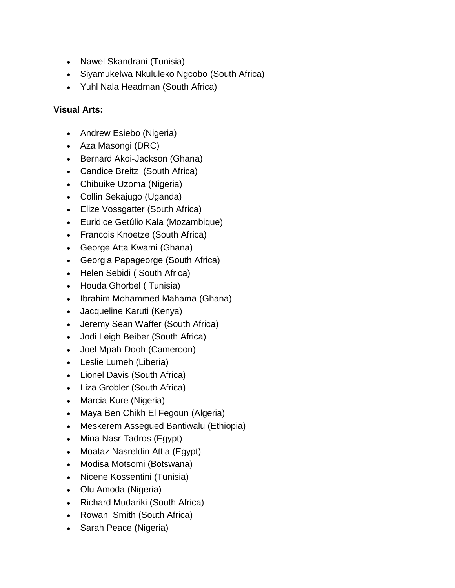- [Nawel Skandrani](http://www.nawelskandrani.com/#!bio/c1xye) (Tunisia)
- [Siyamukelwa Nkululeko Ngcobo](https://www.youtube.com/channel/UChcKFBYKjy7aTXxcjiJOVPg) (South Africa)
- [Yuhl Nala Headman](https://www.linkedin.com/in/yuhl-headman-7a37b45b) (South Africa)

# **Visual Arts:**

- [Andrew Esiebo](http://www.andrewesiebo.com/#new-page) (Nigeria)
- [Aza Masongi](http://www.iam-africa.com/kristine-tsala-and-aza-mansongi-two-thirds-of-the-3kokoricos-collective) (DRC)
- [Bernard Akoi-Jackson](http://dutchartinstitute.eu/page/6193/bernard-akoi-jackson) (Ghana)
- [Candice Breitz](http://10and5.com/2015/09/09/fnb-joburgartfair-featured-artist-candice-breitz-a-strong-work-of-art-asks-the-right-questions/) (South Africa)
- [Chibuike Uzoma](http://omenkagallery.com/artist/chibuike) (Nigeria)
- [Collin Sekajugo](http://www.nytimes.com/2013/10/17/arts/international/in-rwanda-studio-space-as-catalyst.html?_r=0) (Uganda)
- [Elize Vossgatter](http://www.elizevossgatter.co.za/) (South Africa)
- [Euridice Getúlio Kala](http://euridicekala.blogspot.co.za/p/cv.html) (Mozambique)
- [Francois Knoetze](http://10and5.com/2014/06/13/young-south-africa-francois-knoetze-trash-speaks-volumes/) (South Africa)
- [George Atta Kwami](http://attakwami.com/about/) (Ghana)
- [Georgia Papageorge](https://en.wikipedia.org/wiki/Georgia_Papageorge) (South Africa)
- [Helen Sebidi](http://21icons.com/helen-sebidi) ( South Africa)
- [Houda Ghorbel](http://www.imagomundiart.com/artworks/houda-ghorbel-who-are-you) ( Tunisia)
- [Ibrahim Mohammed Mahama](http://aadatart.com/interview-ghanaian-artist-ibrahim-mahama/#.VmC4FOOGSkp) (Ghana)
- [Jacqueline Karuti](http://thirdroomstudios.com/?page_id=2) (Kenya)
- [Jeremy Sean Waffer](http://wsoa.wits.ac.za/fine-arts/professor-jeremy-wafer/) (South Africa)
- [Jodi Leigh Beiber](http://www.jodibieber.com/) (South Africa)
- [Joel Mpah-Dooh](http://omenkagallery.com/artist/joel) (Cameroon)
- [Leslie Lumeh](http://leslielumeh.com/about/) (Liberia)
- [Lionel Davis](http://asai.co.za/artist/lionel-davis/) (South Africa)
- [Liza Grobler](http://lizagrobler.com/about/) (South Africa)
- [Marcia Kure](https://en.wikipedia.org/wiki/Marcia_Kure) (Nigeria)
- [Maya Ben Chikh El Fegoun](http://www.imagomundiart.com/artworks/maya-ben-chikh-el-fegoun-untitled) (Algeria)
- [Meskerem Assegued Bantiwalu](http://curatorsintl.org/collaborators/meskerem_assegued) (Ethiopia)
- [Mina Nasr Tadros](http://www.syra-arts.com/site/Artists/ArtistProfile/tabid/83/ID/27/Default.aspx) (Egypt)
- [Moataz Nasreldin Attia](http://www.moataznasr.com/) (Egypt)
- [Modisa Motsomi](http://10and5.com/2014/04/25/featured-modisa-tim-motsomi/) (Botswana)
- [Nicene Kossentini](http://nicenekossentini.com/old/index.html) (Tunisia)
- [Olu Amoda](http://1-54.com/new-york/artists/olu-amoda/) (Nigeria)
- [Richard Mudariki](http://richardmudariki.com/Biography/) (South Africa)
- [Rowan Smith](http://www.whatiftheworld.com/artist/rowan-smith/) (South Africa)
- [Sarah Peace](http://www.guardian-series.co.uk/news/11364115.Nigerian_artist_marks_100_days_since_schoolgirls_kidnapping/?ref=rss) (Nigeria)